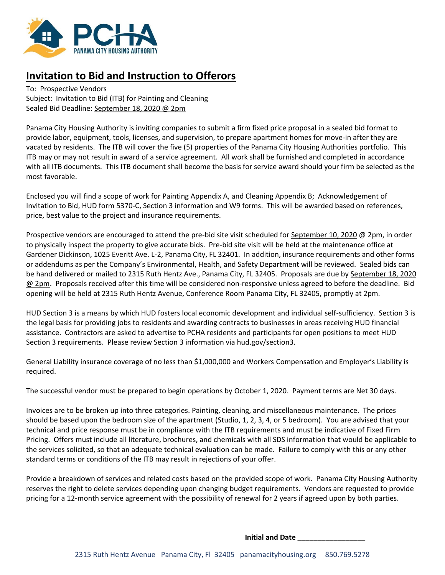

# **Invitation to Bid and Instruction to Offerors**

To: Prospective Vendors Subject: Invitation to Bid (ITB) for Painting and Cleaning Sealed Bid Deadline: September 18, 2020 @ 2pm

Panama City Housing Authority is inviting companies to submit a firm fixed price proposal in a sealed bid format to provide labor, equipment, tools, licenses, and supervision, to prepare apartment homes for move-in after they are vacated by residents. The ITB will cover the five (5) properties of the Panama City Housing Authorities portfolio. This ITB may or may not result in award of a service agreement. All work shall be furnished and completed in accordance with all ITB documents. This ITB document shall become the basis for service award should your firm be selected as the most favorable.

Enclosed you will find a scope of work for Painting Appendix A, and Cleaning Appendix B; Acknowledgement of Invitation to Bid, HUD form 5370-C, Section 3 information and W9 forms. This will be awarded based on references, price, best value to the project and insurance requirements.

Prospective vendors are encouraged to attend the pre-bid site visit scheduled for September 10, 2020 @ 2pm, in order to physically inspect the property to give accurate bids. Pre-bid site visit will be held at the maintenance office at Gardener Dickinson, 1025 Everitt Ave. L-2, Panama City, FL 32401. In addition, insurance requirements and other forms or addendums as per the Company's Environmental, Health, and Safety Department will be reviewed. Sealed bids can be hand delivered or mailed to 2315 Ruth Hentz Ave., Panama City, FL 32405. Proposals are due by September 18, 2020 @ 2pm. Proposals received after this time will be considered non-responsive unless agreed to before the deadline. Bid opening will be held at 2315 Ruth Hentz Avenue, Conference Room Panama City, FL 32405, promptly at 2pm.

HUD Section 3 is a means by which HUD fosters local economic development and individual self-sufficiency. Section 3 is the legal basis for providing jobs to residents and awarding contracts to businesses in areas receiving HUD financial assistance. Contractors are asked to advertise to PCHA residents and participants for open positions to meet HUD Section 3 requirements. Please review Section 3 information via hud.gov/section3.

General Liability insurance coverage of no less than \$1,000,000 and Workers Compensation and Employer's Liability is required.

The successful vendor must be prepared to begin operations by October 1, 2020. Payment terms are Net 30 days.

Invoices are to be broken up into three categories. Painting, cleaning, and miscellaneous maintenance. The prices should be based upon the bedroom size of the apartment (Studio, 1, 2, 3, 4, or 5 bedroom). You are advised that your technical and price response must be in compliance with the ITB requirements and must be indicative of Fixed Firm Pricing. Offers must include all literature, brochures, and chemicals with all SDS information that would be applicable to the services solicited, so that an adequate technical evaluation can be made. Failure to comply with this or any other standard terms or conditions of the ITB may result in rejections of your offer.

Provide a breakdown of services and related costs based on the provided scope of work. Panama City Housing Authority reserves the right to delete services depending upon changing budget requirements. Vendors are requested to provide pricing for a 12-month service agreement with the possibility of renewal for 2 years if agreed upon by both parties.

**Initial and Date \_\_\_\_\_\_\_\_\_\_\_\_\_\_\_\_\_**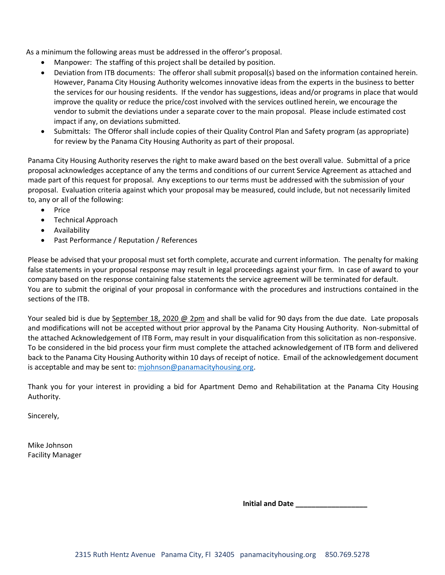As a minimum the following areas must be addressed in the offeror's proposal.

- Manpower: The staffing of this project shall be detailed by position.
- Deviation from ITB documents: The offeror shall submit proposal(s) based on the information contained herein. However, Panama City Housing Authority welcomes innovative ideas from the experts in the business to better the services for our housing residents. If the vendor has suggestions, ideas and/or programs in place that would improve the quality or reduce the price/cost involved with the services outlined herein, we encourage the vendor to submit the deviations under a separate cover to the main proposal. Please include estimated cost impact if any, on deviations submitted.
- Submittals: The Offeror shall include copies of their Quality Control Plan and Safety program (as appropriate) for review by the Panama City Housing Authority as part of their proposal.

Panama City Housing Authority reserves the right to make award based on the best overall value. Submittal of a price proposal acknowledges acceptance of any the terms and conditions of our current Service Agreement as attached and made part of this request for proposal. Any exceptions to our terms must be addressed with the submission of your proposal. Evaluation criteria against which your proposal may be measured, could include, but not necessarily limited to, any or all of the following:

- Price
- Technical Approach
- Availability
- Past Performance / Reputation / References

Please be advised that your proposal must set forth complete, accurate and current information. The penalty for making false statements in your proposal response may result in legal proceedings against your firm. In case of award to your company based on the response containing false statements the service agreement will be terminated for default. You are to submit the original of your proposal in conformance with the procedures and instructions contained in the sections of the ITB.

Your sealed bid is due by September 18, 2020 @ 2pm and shall be valid for 90 days from the due date. Late proposals and modifications will not be accepted without prior approval by the Panama City Housing Authority. Non-submittal of the attached Acknowledgement of ITB Form, may result in your disqualification from this solicitation as non-responsive. To be considered in the bid process your firm must complete the attached acknowledgement of ITB form and delivered back to the Panama City Housing Authority within 10 days of receipt of notice. Email of the acknowledgement document is acceptable and may be sent to: [mjohnson@panamacityhousing.org.](mailto:mjohnson@panamacityhousing.org)

Thank you for your interest in providing a bid for Apartment Demo and Rehabilitation at the Panama City Housing Authority.

Sincerely,

Mike Johnson Facility Manager

**Initial and Date \_\_\_\_\_\_\_\_\_\_\_\_\_\_\_\_\_\_**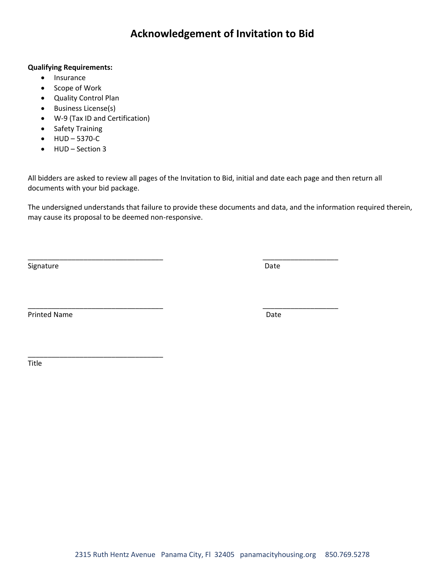# **Acknowledgement of Invitation to Bid**

## **Qualifying Requirements:**

- Insurance
- Scope of Work
- Quality Control Plan
- Business License(s)
- W-9 (Tax ID and Certification)

\_\_\_\_\_\_\_\_\_\_\_\_\_\_\_\_\_\_\_\_\_\_\_\_\_\_\_\_\_\_\_\_\_\_

- Safety Training
- HUD 5370-C
- HUD Section 3

All bidders are asked to review all pages of the Invitation to Bid, initial and date each page and then return all documents with your bid package.

\_\_\_\_\_\_\_\_\_\_\_\_\_\_\_\_\_\_\_\_\_\_\_\_\_\_\_\_\_\_\_\_\_\_ \_\_\_\_\_\_\_\_\_\_\_\_\_\_\_\_\_\_\_

\_\_\_\_\_\_\_\_\_\_\_\_\_\_\_\_\_\_\_\_\_\_\_\_\_\_\_\_\_\_\_\_\_\_ \_\_\_\_\_\_\_\_\_\_\_\_\_\_\_\_\_\_\_

The undersigned understands that failure to provide these documents and data, and the information required therein, may cause its proposal to be deemed non-responsive.

Signature Date Date of the Date of the Date of the Date of the Date of the Date of the Date of the Date of the

Printed Name **Date** 

Title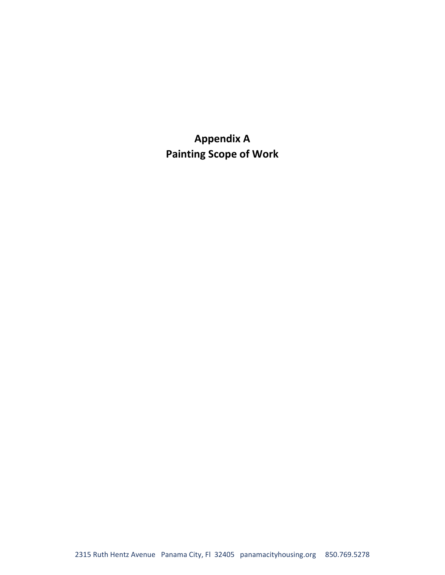**Appendix A Painting Scope of Work**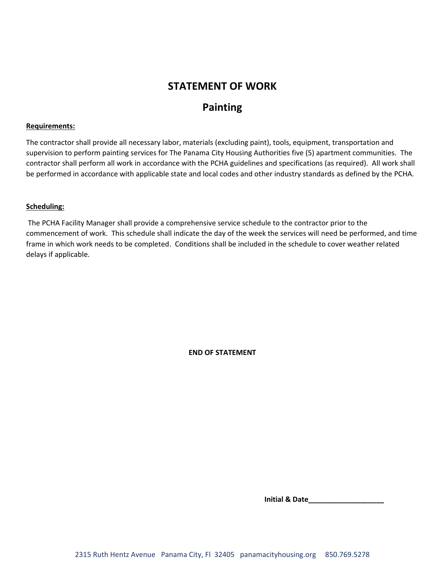# **STATEMENT OF WORK**

# **Painting**

### **Requirements:**

The contractor shall provide all necessary labor, materials (excluding paint), tools, equipment, transportation and supervision to perform painting services for The Panama City Housing Authorities five (5) apartment communities. The contractor shall perform all work in accordance with the PCHA guidelines and specifications (as required). All work shall be performed in accordance with applicable state and local codes and other industry standards as defined by the PCHA.

#### **Scheduling:**

The PCHA Facility Manager shall provide a comprehensive service schedule to the contractor prior to the commencement of work. This schedule shall indicate the day of the week the services will need be performed, and time frame in which work needs to be completed. Conditions shall be included in the schedule to cover weather related delays if applicable.

**END OF STATEMENT**

 **Initial & Date\_\_\_\_\_\_\_\_\_\_\_\_\_\_\_\_\_\_\_**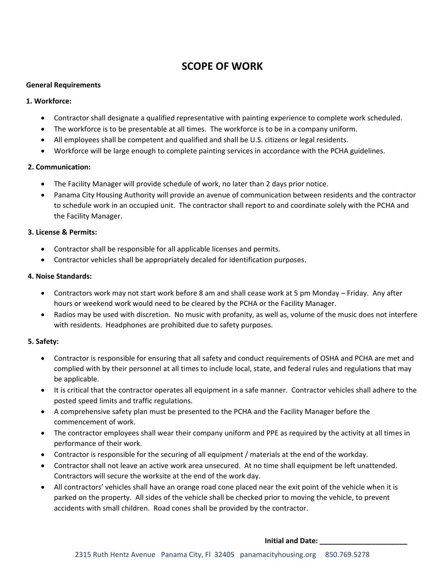# **SCOPE OF WORK**

### **General Requirements**

## **1. Workforce:**

- Contractor shall designate a qualified representative with painting experience to complete work scheduled.
- The workforce is to be presentable at all times. The workforce is to be in a company uniform.
- All employees shall be competent and qualified and shall be U.S. citizens or legal residents.
- Workforce will be large enough to complete painting services in accordance with the PCHA guidelines.

## **2. Communication:**

- The Facility Manager will provide schedule of work, no later than 2 days prior notice.
- Panama City Housing Authority will provide an avenue of communication between residents and the contractor to schedule work in an occupied unit. The contractor shall report to and coordinate solely with the PCHA and the Facility Manager.

## **3. License & Permits:**

- Contractor shall be responsible for all applicable licenses and permits.
- Contractor vehicles shall be appropriately decaled for identification purposes.

## **4. Noise Standards:**

- Contractors work may not start work before 8 am and shall cease work at 5 pm Monday Friday. Any after hours or weekend work would need to be cleared by the PCHA or the Facility Manager.
- Radios may be used with discretion. No music with profanity, as well as, volume of the music does not interfere with residents. Headphones are prohibited due to safety purposes.

## **5. Safety:**

- Contractor is responsible for ensuring that all safety and conduct requirements of OSHA and PCHA are met and complied with by their personnel at all times to include local, state, and federal rules and regulations that may be applicable.
- It is critical that the contractor operates all equipment in a safe manner. Contractor vehicles shall adhere to the posted speed limits and traffic regulations.
- A comprehensive safety plan must be presented to the PCHA and the Facility Manager before the commencement of work.
- The contractor employees shall wear their company uniform and PPE as required by the activity at all times in performance of their work.
- Contractor is responsible for the securing of all equipment / materials at the end of the workday.
- Contractor shall not leave an active work area unsecured. At no time shall equipment be left unattended. Contractors will secure the worksite at the end of the work day.
- All contractors' vehicles shall have an orange road cone placed near the exit point of the vehicle when it is parked on the property. All sides of the vehicle shall be checked prior to moving the vehicle, to prevent accidents with small children. Road cones shall be provided by the contractor.

#### **Initial and Date: \_\_\_\_\_\_\_\_\_\_\_\_\_\_\_\_\_\_\_\_\_\_**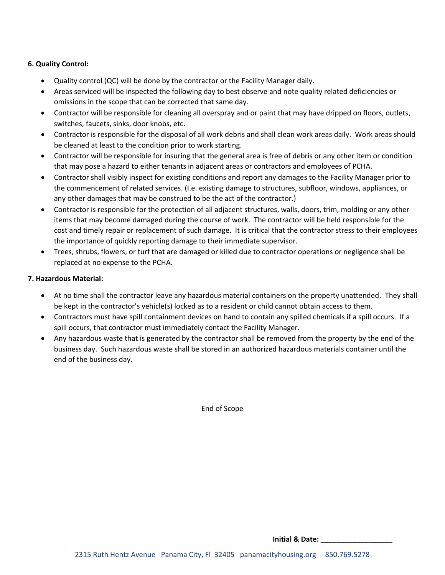## **6. Quality Control:**

- Quality control (QC) will be done by the contractor or the Facility Manager daily.
- Areas serviced will be inspected the following day to best observe and note quality related deficiencies or omissions in the scope that can be corrected that same day.
- Contractor will be responsible for cleaning all overspray and or paint that may have dripped on floors, outlets, switches, faucets, sinks, door knobs, etc.
- Contractor is responsible for the disposal of all work debris and shall clean work areas daily. Work areas should be cleaned at least to the condition prior to work starting.
- Contractor will be responsible for insuring that the general area is free of debris or any other item or condition that may pose a hazard to either tenants in adjacent areas or contractors and employees of PCHA.
- Contractor shall visibly inspect for existing conditions and report any damages to the Facility Manager prior to the commencement of related services. (I.e. existing damage to structures, subfloor, windows, appliances, or any other damages that may be construed to be the act of the contractor.)
- Contractor is responsible for the protection of all adjacent structures, walls, doors, trim, molding or any other items that may become damaged during the course of work. The contractor will be held responsible for the cost and timely repair or replacement of such damage. It is critical that the contractor stress to their employees the importance of quickly reporting damage to their immediate supervisor.
- Trees, shrubs, flowers, or turf that are damaged or killed due to contractor operations or negligence shall be replaced at no expense to the PCHA.

### **7. Hazardous Material:**

- At no time shall the contractor leave any hazardous material containers on the property unattended. They shall be kept in the contractor's vehicle(s) locked as to a resident or child cannot obtain access to them.
- Contractors must have spill containment devices on hand to contain any spilled chemicals if a spill occurs. If a spill occurs, that contractor must immediately contact the Facility Manager.
- Any hazardous waste that is generated by the contractor shall be removed from the property by the end of the business day. Such hazardous waste shall be stored in an authorized hazardous materials container until the end of the business day.

End of Scope

 **Initial & Date: \_\_\_\_\_\_\_\_\_\_\_\_\_\_\_\_\_\_**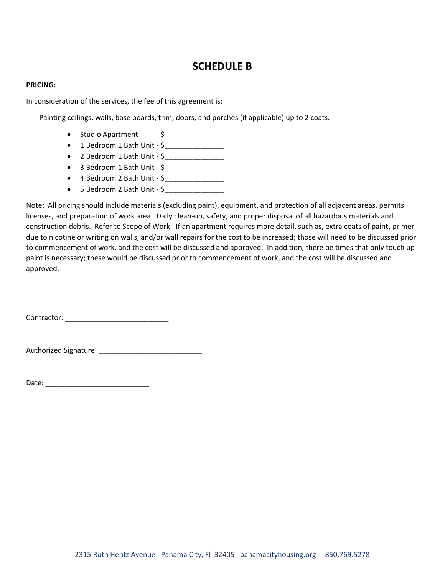# **SCHEDULE B**

#### **PRICING:**

In consideration of the services, the fee of this agreement is:

Painting ceilings, walls, base boards, trim, doors, and porches (if applicable) up to 2 coats.

- Studio Apartment  $-5$   $-$
- 1 Bedroom 1 Bath Unit  $\frac{6}{2}$
- 2 Bedroom 1 Bath Unit  $\zeta$
- 3 Bedroom 1 Bath Unit \$\_\_\_\_\_\_\_\_\_\_\_\_\_\_\_
- 4 Bedroom 2 Bath Unit \$\_\_\_\_\_\_\_\_\_\_\_\_\_\_\_
- 5 Bedroom 2 Bath Unit \$\_\_\_\_\_\_\_\_\_\_\_\_\_\_\_

Note: All pricing should include materials (excluding paint), equipment, and protection of all adjacent areas, permits licenses, and preparation of work area. Daily clean-up, safety, and proper disposal of all hazardous materials and construction debris. Refer to Scope of Work. If an apartment requires more detail, such as, extra coats of paint, primer due to nicotine or writing on walls, and/or wall repairs for the cost to be increased; those will need to be discussed prior to commencement of work, and the cost will be discussed and approved. In addition, there be times that only touch up paint is necessary; these would be discussed prior to commencement of work, and the cost will be discussed and approved.

Contractor: \_\_\_\_\_\_\_\_\_\_\_\_\_\_\_\_\_\_\_\_\_\_\_\_\_\_

Authorized Signature: \_\_\_\_\_\_\_\_\_\_\_\_\_\_\_\_\_\_\_\_\_\_\_\_\_\_

Date: \_\_\_\_\_\_\_\_\_\_\_\_\_\_\_\_\_\_\_\_\_\_\_\_\_\_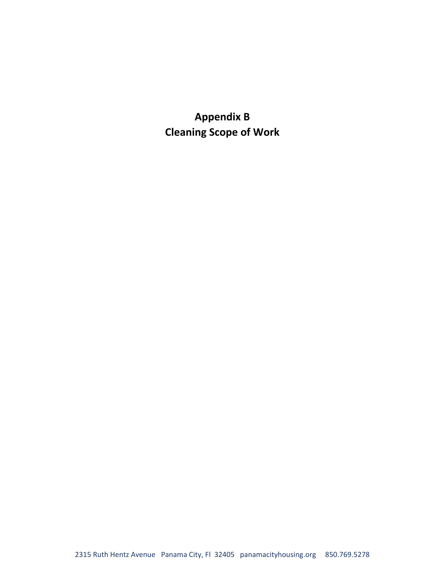**Appendix B Cleaning Scope of Work**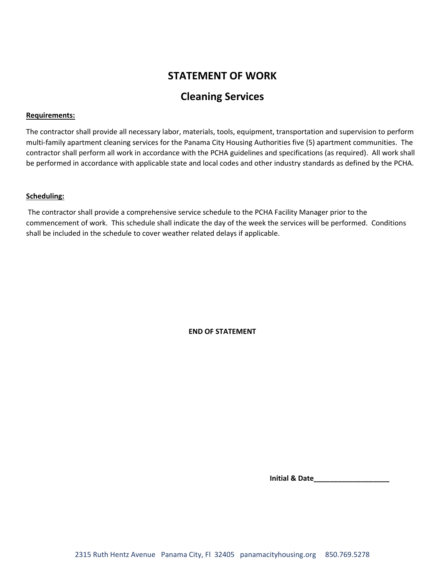# **STATEMENT OF WORK**

# **Cleaning Services**

### **Requirements:**

The contractor shall provide all necessary labor, materials, tools, equipment, transportation and supervision to perform multi-family apartment cleaning services for the Panama City Housing Authorities five (5) apartment communities. The contractor shall perform all work in accordance with the PCHA guidelines and specifications (as required). All work shall be performed in accordance with applicable state and local codes and other industry standards as defined by the PCHA.

### **Scheduling:**

The contractor shall provide a comprehensive service schedule to the PCHA Facility Manager prior to the commencement of work. This schedule shall indicate the day of the week the services will be performed. Conditions shall be included in the schedule to cover weather related delays if applicable.

**END OF STATEMENT**

 **Initial & Date\_\_\_\_\_\_\_\_\_\_\_\_\_\_\_\_\_\_\_**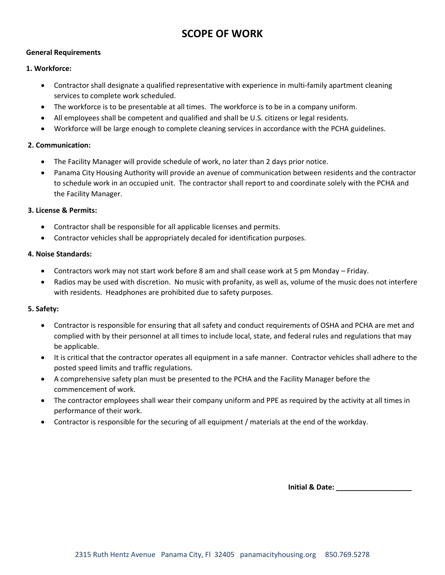# **SCOPE OF WORK**

### **General Requirements**

### **1. Workforce:**

- Contractor shall designate a qualified representative with experience in multi-family apartment cleaning services to complete work scheduled.
- The workforce is to be presentable at all times. The workforce is to be in a company uniform.
- All employees shall be competent and qualified and shall be U.S. citizens or legal residents.
- Workforce will be large enough to complete cleaning services in accordance with the PCHA guidelines.

## **2. Communication:**

- The Facility Manager will provide schedule of work, no later than 2 days prior notice.
- Panama City Housing Authority will provide an avenue of communication between residents and the contractor to schedule work in an occupied unit. The contractor shall report to and coordinate solely with the PCHA and the Facility Manager.

### **3. License & Permits:**

- Contractor shall be responsible for all applicable licenses and permits.
- Contractor vehicles shall be appropriately decaled for identification purposes.

#### **4. Noise Standards:**

- Contractors work may not start work before 8 am and shall cease work at 5 pm Monday Friday.
- Radios may be used with discretion. No music with profanity, as well as, volume of the music does not interfere with residents. Headphones are prohibited due to safety purposes.

### **5. Safety:**

- Contractor is responsible for ensuring that all safety and conduct requirements of OSHA and PCHA are met and complied with by their personnel at all times to include local, state, and federal rules and regulations that may be applicable.
- It is critical that the contractor operates all equipment in a safe manner. Contractor vehicles shall adhere to the posted speed limits and traffic regulations.
- A comprehensive safety plan must be presented to the PCHA and the Facility Manager before the commencement of work.
- The contractor employees shall wear their company uniform and PPE as required by the activity at all times in performance of their work.
- Contractor is responsible for the securing of all equipment / materials at the end of the workday.

 **Initial & Date: \_\_\_\_\_\_\_\_\_\_\_\_\_\_\_\_\_\_\_**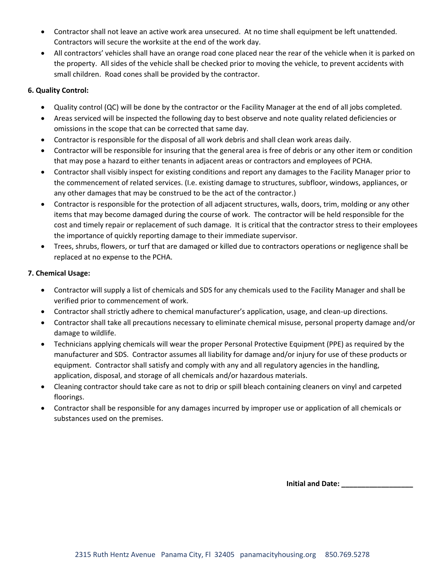- Contractor shall not leave an active work area unsecured. At no time shall equipment be left unattended. Contractors will secure the worksite at the end of the work day.
- All contractors' vehicles shall have an orange road cone placed near the rear of the vehicle when it is parked on the property. All sides of the vehicle shall be checked prior to moving the vehicle, to prevent accidents with small children. Road cones shall be provided by the contractor.

## **6. Quality Control:**

- Quality control (QC) will be done by the contractor or the Facility Manager at the end of all jobs completed.
- Areas serviced will be inspected the following day to best observe and note quality related deficiencies or omissions in the scope that can be corrected that same day.
- Contractor is responsible for the disposal of all work debris and shall clean work areas daily.
- Contractor will be responsible for insuring that the general area is free of debris or any other item or condition that may pose a hazard to either tenants in adjacent areas or contractors and employees of PCHA.
- Contractor shall visibly inspect for existing conditions and report any damages to the Facility Manager prior to the commencement of related services. (I.e. existing damage to structures, subfloor, windows, appliances, or any other damages that may be construed to be the act of the contractor.)
- Contractor is responsible for the protection of all adjacent structures, walls, doors, trim, molding or any other items that may become damaged during the course of work. The contractor will be held responsible for the cost and timely repair or replacement of such damage. It is critical that the contractor stress to their employees the importance of quickly reporting damage to their immediate supervisor.
- Trees, shrubs, flowers, or turf that are damaged or killed due to contractors operations or negligence shall be replaced at no expense to the PCHA.

## **7. Chemical Usage:**

- Contractor will supply a list of chemicals and SDS for any chemicals used to the Facility Manager and shall be verified prior to commencement of work.
- Contractor shall strictly adhere to chemical manufacturer's application, usage, and clean-up directions.
- Contractor shall take all precautions necessary to eliminate chemical misuse, personal property damage and/or damage to wildlife.
- Technicians applying chemicals will wear the proper Personal Protective Equipment (PPE) as required by the manufacturer and SDS. Contractor assumes all liability for damage and/or injury for use of these products or equipment. Contractor shall satisfy and comply with any and all regulatory agencies in the handling, application, disposal, and storage of all chemicals and/or hazardous materials.
- Cleaning contractor should take care as not to drip or spill bleach containing cleaners on vinyl and carpeted floorings.
- Contractor shall be responsible for any damages incurred by improper use or application of all chemicals or substances used on the premises.

**Initial and Date:**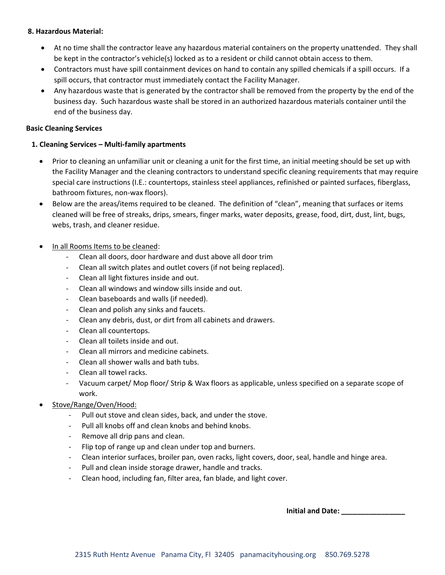### **8. Hazardous Material:**

- At no time shall the contractor leave any hazardous material containers on the property unattended. They shall be kept in the contractor's vehicle(s) locked as to a resident or child cannot obtain access to them.
- Contractors must have spill containment devices on hand to contain any spilled chemicals if a spill occurs. If a spill occurs, that contractor must immediately contact the Facility Manager.
- Any hazardous waste that is generated by the contractor shall be removed from the property by the end of the business day. Such hazardous waste shall be stored in an authorized hazardous materials container until the end of the business day.

### **Basic Cleaning Services**

### **1. Cleaning Services – Multi-family apartments**

- Prior to cleaning an unfamiliar unit or cleaning a unit for the first time, an initial meeting should be set up with the Facility Manager and the cleaning contractors to understand specific cleaning requirements that may require special care instructions (I.E.: countertops, stainless steel appliances, refinished or painted surfaces, fiberglass, bathroom fixtures, non-wax floors).
- Below are the areas/items required to be cleaned. The definition of "clean", meaning that surfaces or items cleaned will be free of streaks, drips, smears, finger marks, water deposits, grease, food, dirt, dust, lint, bugs, webs, trash, and cleaner residue.
- In all Rooms Items to be cleaned:
	- Clean all doors, door hardware and dust above all door trim
	- Clean all switch plates and outlet covers (if not being replaced).
	- Clean all light fixtures inside and out.
	- Clean all windows and window sills inside and out.
	- Clean baseboards and walls (if needed).
	- Clean and polish any sinks and faucets.
	- Clean any debris, dust, or dirt from all cabinets and drawers.
	- Clean all countertops.
	- Clean all toilets inside and out.
	- Clean all mirrors and medicine cabinets.
	- Clean all shower walls and bath tubs.
	- Clean all towel racks.
	- Vacuum carpet/ Mop floor/ Strip & Wax floors as applicable, unless specified on a separate scope of work.
- Stove/Range/Oven/Hood:
	- Pull out stove and clean sides, back, and under the stove.
	- Pull all knobs off and clean knobs and behind knobs.
	- Remove all drip pans and clean.
	- Flip top of range up and clean under top and burners.
	- Clean interior surfaces, broiler pan, oven racks, light covers, door, seal, handle and hinge area.
	- Pull and clean inside storage drawer, handle and tracks.
	- Clean hood, including fan, filter area, fan blade, and light cover.

**Initial and Date: \_\_\_\_\_\_\_\_\_\_\_\_\_\_\_\_**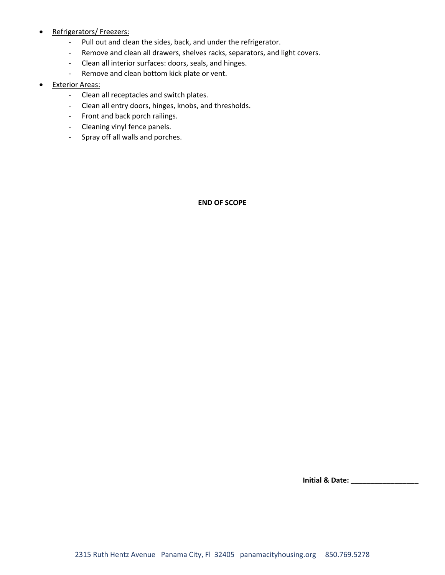- Refrigerators/ Freezers:
	- Pull out and clean the sides, back, and under the refrigerator.
	- Remove and clean all drawers, shelves racks, separators, and light covers.
	- Clean all interior surfaces: doors, seals, and hinges.
	- Remove and clean bottom kick plate or vent.
- **Exterior Areas:** 
	- Clean all receptacles and switch plates.
	- Clean all entry doors, hinges, knobs, and thresholds.
	- Front and back porch railings.
	- Cleaning vinyl fence panels.
	- Spray off all walls and porches.

**END OF SCOPE**

**Initial & Date: \_\_\_\_\_\_\_\_\_\_\_\_\_\_\_\_\_**